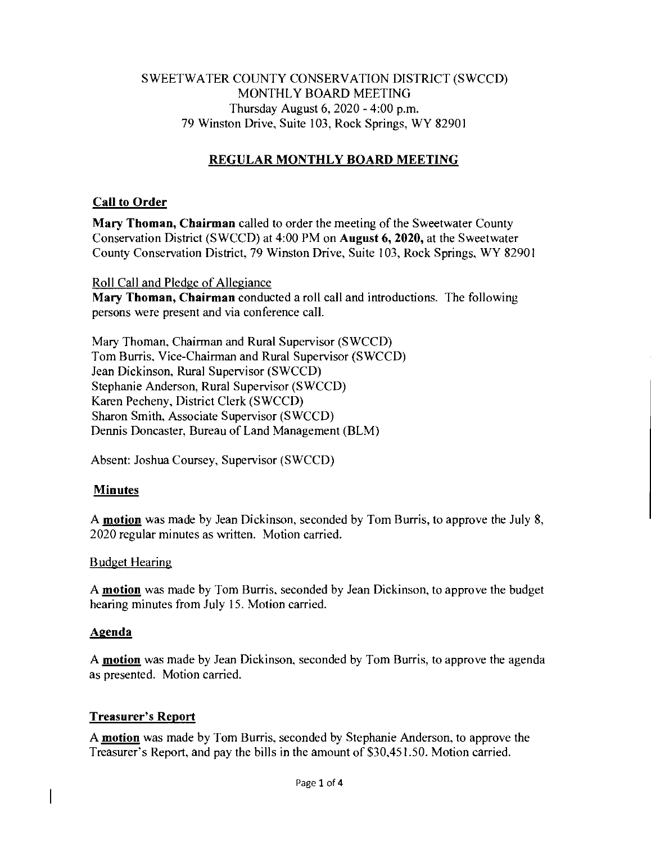### SWEETWATER COUNTY CONSERVATION DISTRICT (SWCCD) MONTHLY BOARD MEETING Thursday August 6, 2020 - 4:00 p.m. 79 Winston Drive, Suite 103, Rock Springs, WY 82901

# **REGULAR MONTHLY BOARD MEETING**

### **Call to Order**

**Mary Thoman, Chairman** called to order the meeting of the Sweetwater County Conservation District (SWCCD) at 4:00 PM on **August 6, 2020,** at the Sweetwater County Conservation District, 79 Winston Drive, Suite 103, Rock Springs, WY 82901

Roll Call and Pledge of Allegiance **Mary Thoman, Chairman** conducted a roll call and introductions. The following persons were present and via conference call.

Mary Thoman, Chairman and Rural Supervisor (SWCCD) Tom Burris, Vice-Chairman and Rural Supervisor (SWCCD) Jean Dickinson, Rural Supervisor (SWCCD) Stephanie Anderson, Rural Supervisor (SWCCD) Karen Pecheny, District Clerk (SWCCD) Sharon Smith, Associate Supervisor (SWCCD) Dennis Doncaster, Bureau of Land Management (BLM)

Absent: Joshua Coursey, Supervisor (SWCCD)

# **Minutes**

A **motion** was made by Jean Dickinson, seconded by Tom Burris, to approve the July 8, 2020 regular minutes as written. Motion carried.

### Budget Hearing

A **motion** was made by Tom Burris, seconded by Jean Dickinson, to approve the budget hearing minutes from July 15. Motion carried.

### **Agenda**

A **motion** was made by Jean Dickinson, seconded by Tom Burris, to approve the agenda as presented. Motion carried.

### **Treasurer's Report**

A **motion** was made by Tom Burris, seconded by Stephanie Anderson, to approve the Treasurer's Report, and pay the bills in the amount of \$30,451.50. Motion carried.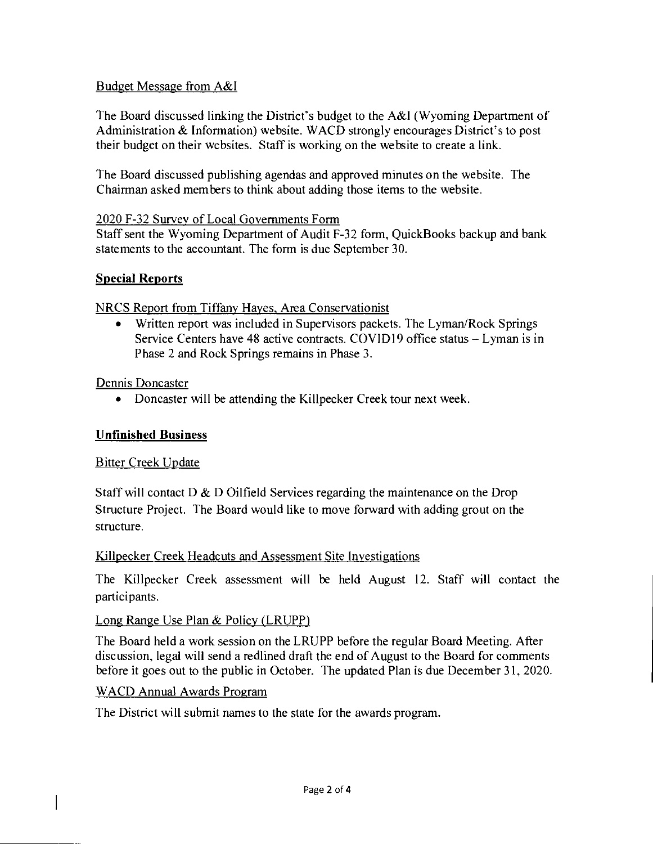### Budget Message from A&I

The Board discussed linking the District's budget to the A&I (Wyoming Department of Administration & Information) website. WACD strongly encourages District's to post their budget on their websites. Staff is working on the website to create a link.

The Board discussed publishing agendas and approved minutes on the website. The Chairman asked members to think about adding those items to the website.

### 2020 F-32 Survey of Local Governments Form

Staff sent the Wyoming Department of Audit F-32 form, QuickBooks backup and bank statements to the accountant. The form is due September 30.

### **Special Reports**

### NRCS Report from Tiffany Hayes, Area Conservationist

• Written report was included in Supervisors packets. The Lyman/Rock Springs Service Centers have 48 active contracts. COVIDI9 office status — Lyman is in Phase 2 and Rock Springs remains in Phase 3.

Dennis Doncaster

• Doncaster will be attending the Killpecker Creek tour next week.

# **Unfinished Business**

# Bitter Creek Update

Staff will contact  $D \& D$  Oilfield Services regarding the maintenance on the Drop Structure Project. The Board would like to move forward with adding grout on the structure.

# Killpecker Creek Headcuts and Assessment Site Investigations

The Killpecker Creek assessment will be held August 12. Staff will contact the participants.

# Long Range Use Plan & Policy (LRUPP)

The Board held a work session on the LRUPP before the regular Board Meeting. After discussion, legal will send a redlined draft the end of August to the Board for comments before it goes out to the public in October. The updated Plan is due December 31, 2020.

# WACD Annual Awards Program

The District will submit names to the state for the awards program.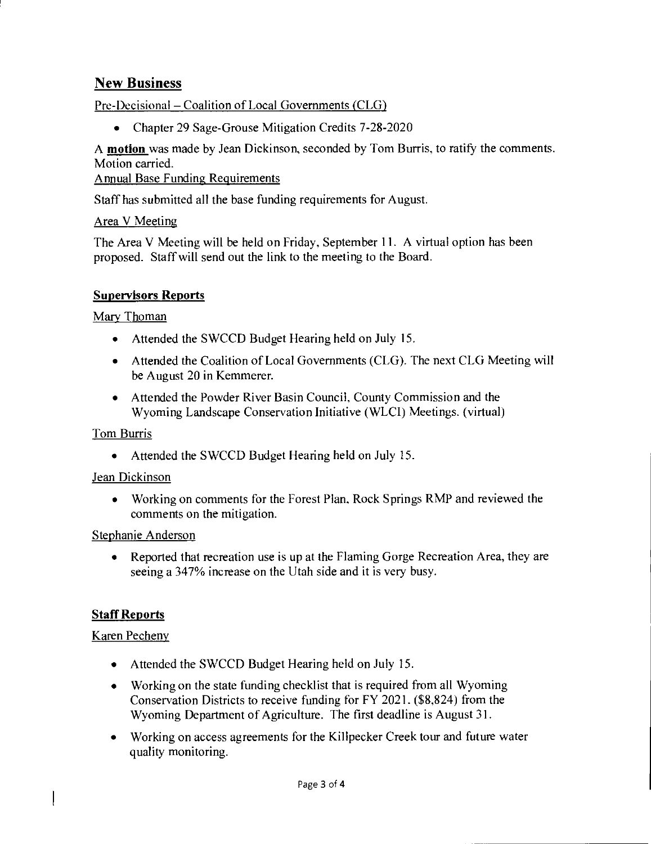# New Business

Pre-Decisional — Coalition of Local Governments (CLG)

• Chapter 29 Sage-Grouse Mitigation Credits 7-28-2020

A **motion** was made by Jean Dickinson, seconded by Tom Burns, to ratify the comments. Motion carried.

Annual Base Funding Requirements

Staff has submitted all the base funding requirements for August.

Area V Meeting

The Area V Meeting will be held on Friday, September 11. A virtual option has been proposed. Staff will send out the link to the meeting to the Board.

### **Supervisors Reports**

### Mary Thoman

- Attended the SWCCD Budget Hearing held on July 15.
- Attended the Coalition of Local Governments (CLG). The next CLG Meeting will be August 20 in Kemmerer.
- Attended the Powder River Basin Council, County Commission and the Wyoming Landscape Conservation Initiative (WLCI) Meetings. (virtual)

### Tom Burris

• Attended the SWCCD Budget Hearing held on July 15.

### Jean Dickinson

• Working on comments for the Forest Plan, Rock Springs RMP and reviewed the comments on the mitigation.

### Stephanie Anderson

• Reported that recreation use is up at the Flaming Gorge Recreation Area, they are seeing a 347% increase on the Utah side and it is very busy.

### **Staff Reports**

### Karen Pecheny

- Attended the SWCCD Budget Hearing held on July 15.
- Working on the state funding checklist that is required from all Wyoming Conservation Districts to receive funding for FY 2021. (\$8,824) from the Wyoming Department of Agriculture. The first deadline is August 31.
- Working on access agreements for the Killpecker Creek tour and future water quality monitoring.